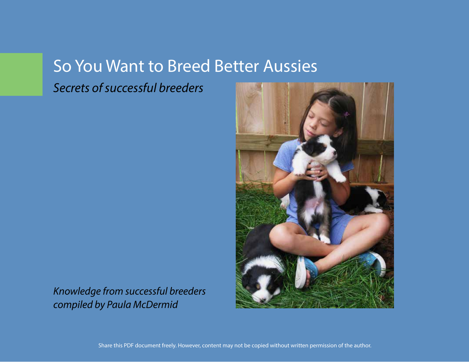# So You Want to Breed Better Aussies

*Secrets of successful breeders*



*Knowledge from successful breeders compiled by Paula McDermid*

Share this PDF document freely. However, content may not be copied without written permission of the author.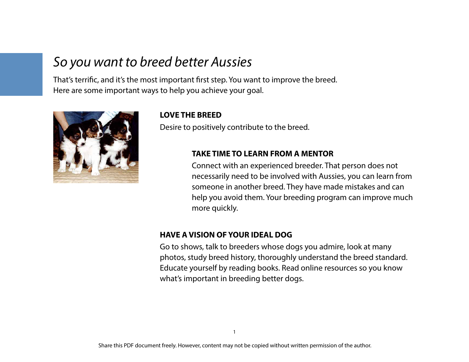## *So you want to breed better Aussies*

That's terrific, and it's the most important first step. You want to improve the breed. Here are some important ways to help you achieve your goal.



### **LOVE THE BREED**

Desire to positively contribute to the breed.

### **TAKE TIME TO LEARN FROM A MENTOR**

Connect with an experienced breeder. That person does not necessarily need to be involved with Aussies, you can learn from someone in another breed. They have made mistakes and can help you avoid them. Your breeding program can improve much more quickly.

### **HAVE A VISION OF YOUR IDEAL DOG**

Go to shows, talk to breeders whose dogs you admire, look at many photos, study breed history, thoroughly understand the breed standard. Educate yourself by reading books. Read online resources so you know what's important in breeding better dogs.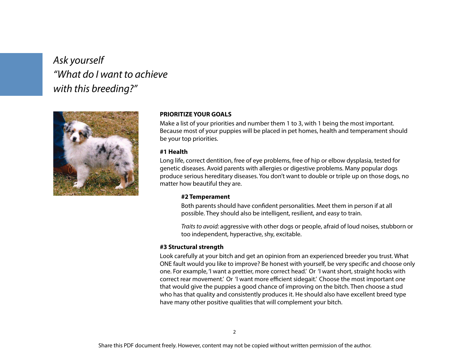## *Ask yourself "What do I want to achieve with this breeding?"*



#### **PRIORITIZE YOUR GOALS**

Make a list of your priorities and number them 1 to 3, with 1 being the most important. Because most of your puppies will be placed in pet homes, health and temperament should be your top priorities.

#### **#1 Health**

Long life, correct dentition, free of eye problems, free of hip or elbow dysplasia, tested for genetic diseases. Avoid parents with allergies or digestive problems. Many popular dogs produce serious hereditary diseases. You don't want to double or triple up on those dogs, no matter how beautiful they are.

#### **#2 Temperament**

Both parents should have confident personalities. Meet them in person if at all possible. They should also be intelligent, resilient, and easy to train.

*Traits to avoid:* aggressive with other dogs or people, afraid of loud noises, stubborn or too independent, hyperactive, shy, excitable.

#### **#3 Structural strength**

Look carefully at your bitch and get an opinion from an experienced breeder you trust. What ONE fault would you like to improve? Be honest with yourself, be very specific and choose only one. For example, 'I want a prettier, more correct head.' Or 'I want short, straight hocks with correct rear movement.' Or 'I want more efficient sidegait.' Choose the most important *one* that would give the puppies a good chance of improving on the bitch. Then choose a stud who has that quality and consistently produces it. He should also have excellent breed type have many other positive qualities that will complement your bitch.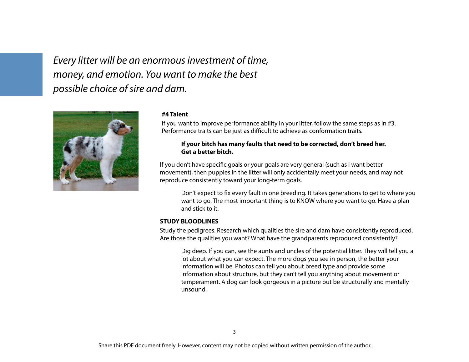*Every litter will be an enormous investment of time, money, and emotion. You want to make the best possible choice of sire and dam.*



#### **#4 Talent**

If you want to improve performance ability in your litter, follow the same steps as in #3. Performance traits can be just as difficult to achieve as conformation traits.

#### **If your bitch has many faults that need to be corrected, don't breed her. Get a better bitch.**

If you don't have specific goals or your goals are very general (such as I want better movement), then puppies in the litter will only accidentally meet your needs, and may not reproduce consistently toward your long-term goals.

Don't expect to fix every fault in one breeding. It takes generations to get to where you want to go. The most important thing is to KNOW where you want to go. Have a plan and stick to it.

#### **STUDY BLOODLINES**

Study the pedigrees. Research which qualities the sire and dam have consistently reproduced. Are those the qualities you want? What have the grandparents reproduced consistently?

Dig deep. If you can, see the aunts and uncles of the potential litter. They will tell you a lot about what you can expect. The more dogs you see in person, the better your information will be. Photos can tell you about breed type and provide some information about structure, but they can't tell you anything about movement or temperament. A dog can look gorgeous in a picture but be structurally and mentally unsound.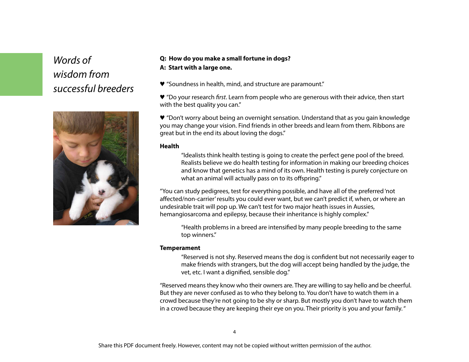## *Words of wisdom from successful breeders*



### **Q: How do you make a small fortune in dogs? A: Start with a large one.**

♥ "Soundness in health, mind, and structure are paramount."

♥ "Do your research *first*. Learn from people who are generous with their advice, then start with the best quality you can."

♥ "Don't worry about being an overnight sensation. Understand that as you gain knowledge you may change your vision. Find friends in other breeds and learn from them. Ribbons are great but in the end its about loving the dogs."

#### **Health**

"Idealists think health testing is going to create the perfect gene pool of the breed. Realists believe we do health testing for information in making our breeding choices and know that genetics has a mind of its own. Health testing is purely conjecture on what an animal will actually pass on to its offspring."

"You can study pedigrees, test for everything possible, and have all of the preferred 'not affected/non-carrier' results you could ever want, but we can't predict if, when, or where an undesirable trait will pop up. We can't test for two major heath issues in Aussies, hemangiosarcoma and epilepsy, because their inheritance is highly complex."

"Health problems in a breed are intensified by many people breeding to the same top winners."

#### **Temperament**

"Reserved is not shy. Reserved means the dog is confident but not necessarily eager to make friends with strangers, but the dog will accept being handled by the judge, the vet, etc. I want a dignified, sensible dog."

"Reserved means they know who their owners are. They are willing to say hello and be cheerful. But they are never confused as to who they belong to. You don't have to watch them in a crowd because they're not going to be shy or sharp. But mostly you don't have to watch them in a crowd because they are keeping their eye on you. Their priority is you and your family. "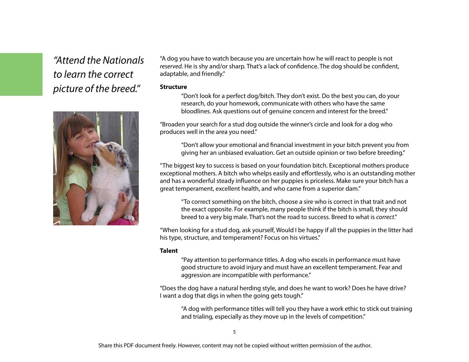## *"Attend the Nationals to learn the correct picture of the breed."*



"A dog you have to watch because you are uncertain how he will react to people is not *reserved*. He is shy and/or sharp. That's a lack of confidence. The dog should be confident, adaptable, and friendly."

#### **Structure**

"Don't look for a perfect dog/bitch. They don't exist. Do the best you can, do your research, do your homework, communicate with others who have the same bloodlines. Ask questions out of genuine concern and interest for the breed."

"Broaden your search for a stud dog outside the winner's circle and look for a dog who produces well in the area you need."

"Don't allow your emotional and financial investment in your bitch prevent you from giving her an unbiased evaluation. Get an outside opinion or two before breeding."

"The biggest key to success is based on your foundation bitch. Exceptional mothers produce exceptional mothers. A bitch who whelps easily and effortlessly, who is an outstanding mother and has a wonderful steady influence on her puppies is priceless. Make sure your bitch has a great temperament, excellent health, and who came from a superior dam."

"To correct something on the bitch, choose a sire who is correct in that trait and not the exact opposite. For example, many people think if the bitch is small, they should breed to a very big male. That's not the road to success. Breed to what is *correct*."

"When looking for a stud dog, ask yourself, Would I be happy if all the puppies in the litter had his type, structure, and temperament? Focus on his virtues."

#### **Talent**

"Pay attention to performance titles. A dog who excels in performance must have good structure to avoid injury and must have an excellent temperament. Fear and aggression are incompatible with performance."

"Does the dog have a natural herding style, and does he want to work? Does he have drive? I want a dog that digs in when the going gets tough."

"A dog with performance titles will tell you they have a work ethic to stick out training and trialing, especially as they move up in the levels of competition."